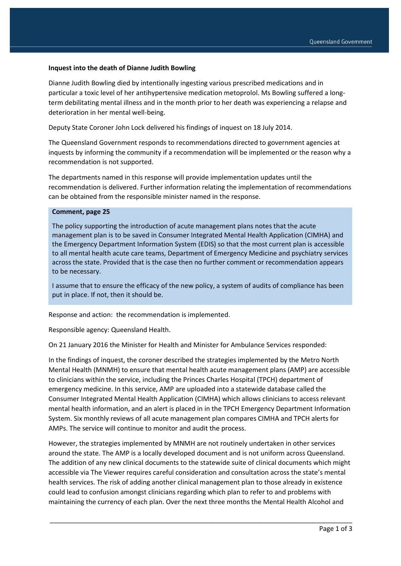## **Inquest into the death of Dianne Judith Bowling**

Dianne Judith Bowling died by intentionally ingesting various prescribed medications and in particular a toxic level of her antihypertensive medication metoprolol. Ms Bowling suffered a longterm debilitating mental illness and in the month prior to her death was experiencing a relapse and deterioration in her mental well-being.

Deputy State Coroner John Lock delivered his findings of inquest on 18 July 2014.

The Queensland Government responds to recommendations directed to government agencies at inquests by informing the community if a recommendation will be implemented or the reason why a recommendation is not supported.

The departments named in this response will provide implementation updates until the recommendation is delivered. Further information relating the implementation of recommendations can be obtained from the responsible minister named in the response.

## **Comment, page 25**

The policy supporting the introduction of acute management plans notes that the acute management plan is to be saved in Consumer Integrated Mental Health Application (CIMHA) and the Emergency Department Information System (EDIS) so that the most current plan is accessible to all mental health acute care teams, Department of Emergency Medicine and psychiatry services across the state. Provided that is the case then no further comment or recommendation appears to be necessary.

I assume that to ensure the efficacy of the new policy, a system of audits of compliance has been put in place. If not, then it should be.

Response and action: the recommendation is implemented.

Responsible agency: Queensland Health.

On 21 January 2016 the Minister for Health and Minister for Ambulance Services responded:

In the findings of inquest, the coroner described the strategies implemented by the Metro North Mental Health (MNMH) to ensure that mental health acute management plans (AMP) are accessible to clinicians within the service, including the Princes Charles Hospital (TPCH) department of emergency medicine. In this service, AMP are uploaded into a statewide database called the Consumer Integrated Mental Health Application (CIMHA) which allows clinicians to access relevant mental health information, and an alert is placed in in the TPCH Emergency Department Information System. Six monthly reviews of all acute management plan compares CIMHA and TPCH alerts for AMPs. The service will continue to monitor and audit the process.

However, the strategies implemented by MNMH are not routinely undertaken in other services around the state. The AMP is a locally developed document and is not uniform across Queensland. The addition of any new clinical documents to the statewide suite of clinical documents which might accessible via The Viewer requires careful consideration and consultation across the state's mental health services. The risk of adding another clinical management plan to those already in existence could lead to confusion amongst clinicians regarding which plan to refer to and problems with maintaining the currency of each plan. Over the next three months the Mental Health Alcohol and

\_\_\_\_\_\_\_\_\_\_\_\_\_\_\_\_\_\_\_\_\_\_\_\_\_\_\_\_\_\_\_\_\_\_\_\_\_\_\_\_\_\_\_\_\_\_\_\_\_\_\_\_\_\_\_\_\_\_\_\_\_\_\_\_\_\_\_\_\_\_\_\_\_\_\_\_\_\_\_\_\_\_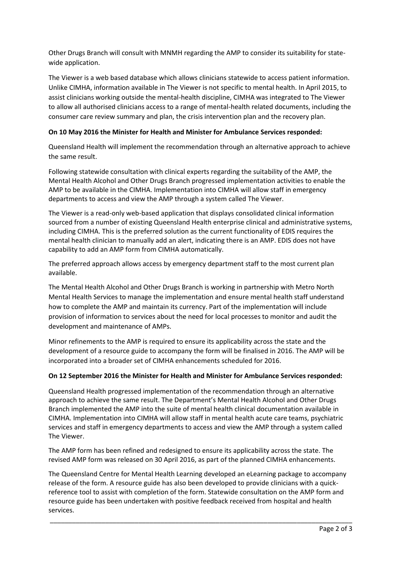Other Drugs Branch will consult with MNMH regarding the AMP to consider its suitability for statewide application.

The Viewer is a web based database which allows clinicians statewide to access patient information. Unlike CIMHA, information available in The Viewer is not specific to mental health. In April 2015, to assist clinicians working outside the mental-health discipline, CIMHA was integrated to The Viewer to allow all authorised clinicians access to a range of mental-health related documents, including the consumer care review summary and plan, the crisis intervention plan and the recovery plan.

## **On 10 May 2016 the Minister for Health and Minister for Ambulance Services responded:**

Queensland Health will implement the recommendation through an alternative approach to achieve the same result.

Following statewide consultation with clinical experts regarding the suitability of the AMP, the Mental Health Alcohol and Other Drugs Branch progressed implementation activities to enable the AMP to be available in the CIMHA. Implementation into CIMHA will allow staff in emergency departments to access and view the AMP through a system called The Viewer.

The Viewer is a read-only web-based application that displays consolidated clinical information sourced from a number of existing Queensland Health enterprise clinical and administrative systems, including CIMHA. This is the preferred solution as the current functionality of EDIS requires the mental health clinician to manually add an alert, indicating there is an AMP. EDIS does not have capability to add an AMP form from CIMHA automatically.

The preferred approach allows access by emergency department staff to the most current plan available.

The Mental Health Alcohol and Other Drugs Branch is working in partnership with Metro North Mental Health Services to manage the implementation and ensure mental health staff understand how to complete the AMP and maintain its currency. Part of the implementation will include provision of information to services about the need for local processes to monitor and audit the development and maintenance of AMPs.

Minor refinements to the AMP is required to ensure its applicability across the state and the development of a resource guide to accompany the form will be finalised in 2016. The AMP will be incorporated into a broader set of CIMHA enhancements scheduled for 2016.

## **On 12 September 2016 the Minister for Health and Minister for Ambulance Services responded:**

Queensland Health progressed implementation of the recommendation through an alternative approach to achieve the same result. The Department's Mental Health Alcohol and Other Drugs Branch implemented the AMP into the suite of mental health clinical documentation available in CIMHA. Implementation into CIMHA will allow staff in mental health acute care teams, psychiatric services and staff in emergency departments to access and view the AMP through a system called The Viewer.

The AMP form has been refined and redesigned to ensure its applicability across the state. The revised AMP form was released on 30 April 2016, as part of the planned CIMHA enhancements.

The Queensland Centre for Mental Health Learning developed an eLearning package to accompany release of the form. A resource guide has also been developed to provide clinicians with a quickreference tool to assist with completion of the form. Statewide consultation on the AMP form and resource guide has been undertaken with positive feedback received from hospital and health services.

\_\_\_\_\_\_\_\_\_\_\_\_\_\_\_\_\_\_\_\_\_\_\_\_\_\_\_\_\_\_\_\_\_\_\_\_\_\_\_\_\_\_\_\_\_\_\_\_\_\_\_\_\_\_\_\_\_\_\_\_\_\_\_\_\_\_\_\_\_\_\_\_\_\_\_\_\_\_\_\_\_\_